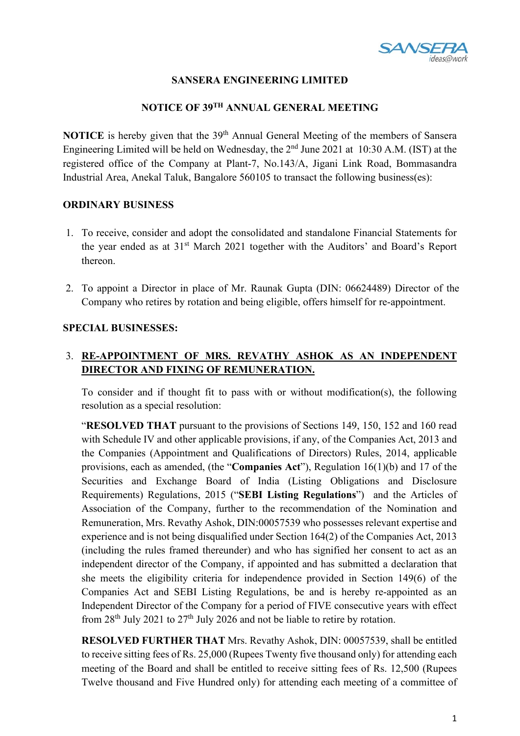

#### **SANSERA ENGINEERING LIMITED**

#### **NOTICE OF 39TH ANNUAL GENERAL MEETING**

**NOTICE** is hereby given that the 39<sup>th</sup> Annual General Meeting of the members of Sansera Engineering Limited will be held on Wednesday, the  $2<sup>nd</sup>$  June 2021 at 10:30 A.M. (IST) at the registered office of the Company at Plant-7, No.143/A, Jigani Link Road, Bommasandra Industrial Area, Anekal Taluk, Bangalore 560105 to transact the following business(es):

#### **ORDINARY BUSINESS**

- 1. To receive, consider and adopt the consolidated and standalone Financial Statements for the year ended as at 31st March 2021 together with the Auditors' and Board's Report thereon.
- 2. To appoint a Director in place of Mr. Raunak Gupta (DIN: 06624489) Director of the Company who retires by rotation and being eligible, offers himself for re-appointment.

#### **SPECIAL BUSINESSES:**

# 3. **RE-APPOINTMENT OF MRS. REVATHY ASHOK AS AN INDEPENDENT DIRECTOR AND FIXING OF REMUNERATION.**

To consider and if thought fit to pass with or without modification(s), the following resolution as a special resolution:

"**RESOLVED THAT** pursuant to the provisions of Sections 149, 150, 152 and 160 read with Schedule IV and other applicable provisions, if any, of the Companies Act, 2013 and the Companies (Appointment and Qualifications of Directors) Rules, 2014, applicable provisions, each as amended, (the "**Companies Act**"), Regulation 16(1)(b) and 17 of the Securities and Exchange Board of India (Listing Obligations and Disclosure Requirements) Regulations, 2015 ("**SEBI Listing Regulations**") and the Articles of Association of the Company, further to the recommendation of the Nomination and Remuneration, Mrs. Revathy Ashok, DIN:00057539 who possesses relevant expertise and experience and is not being disqualified under Section 164(2) of the Companies Act, 2013 (including the rules framed thereunder) and who has signified her consent to act as an independent director of the Company, if appointed and has submitted a declaration that she meets the eligibility criteria for independence provided in Section 149(6) of the Companies Act and SEBI Listing Regulations, be and is hereby re-appointed as an Independent Director of the Company for a period of FIVE consecutive years with effect from  $28<sup>th</sup>$  July 2021 to  $27<sup>th</sup>$  July 2026 and not be liable to retire by rotation.

**RESOLVED FURTHER THAT** Mrs. Revathy Ashok, DIN: 00057539, shall be entitled to receive sitting fees of Rs. 25,000 (Rupees Twenty five thousand only) for attending each meeting of the Board and shall be entitled to receive sitting fees of Rs. 12,500 (Rupees Twelve thousand and Five Hundred only) for attending each meeting of a committee of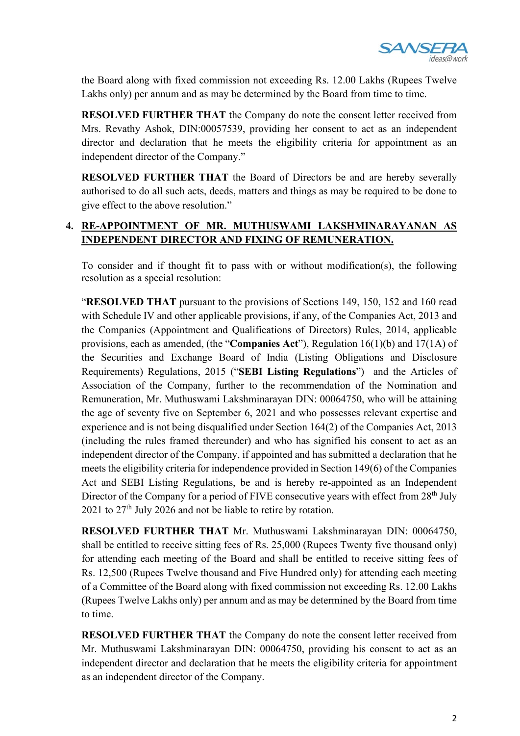

the Board along with fixed commission not exceeding Rs. 12.00 Lakhs (Rupees Twelve Lakhs only) per annum and as may be determined by the Board from time to time.

**RESOLVED FURTHER THAT** the Company do note the consent letter received from Mrs. Revathy Ashok, DIN:00057539, providing her consent to act as an independent director and declaration that he meets the eligibility criteria for appointment as an independent director of the Company."

**RESOLVED FURTHER THAT** the Board of Directors be and are hereby severally authorised to do all such acts, deeds, matters and things as may be required to be done to give effect to the above resolution."

#### **4. RE-APPOINTMENT OF MR. MUTHUSWAMI LAKSHMINARAYANAN AS INDEPENDENT DIRECTOR AND FIXING OF REMUNERATION.**

To consider and if thought fit to pass with or without modification(s), the following resolution as a special resolution:

"**RESOLVED THAT** pursuant to the provisions of Sections 149, 150, 152 and 160 read with Schedule IV and other applicable provisions, if any, of the Companies Act, 2013 and the Companies (Appointment and Qualifications of Directors) Rules, 2014, applicable provisions, each as amended, (the "**Companies Act**"), Regulation 16(1)(b) and 17(1A) of the Securities and Exchange Board of India (Listing Obligations and Disclosure Requirements) Regulations, 2015 ("**SEBI Listing Regulations**") and the Articles of Association of the Company, further to the recommendation of the Nomination and Remuneration, Mr. Muthuswami Lakshminarayan DIN: 00064750, who will be attaining the age of seventy five on September 6, 2021 and who possesses relevant expertise and experience and is not being disqualified under Section 164(2) of the Companies Act, 2013 (including the rules framed thereunder) and who has signified his consent to act as an independent director of the Company, if appointed and has submitted a declaration that he meets the eligibility criteria for independence provided in Section 149(6) of the Companies Act and SEBI Listing Regulations, be and is hereby re-appointed as an Independent Director of the Company for a period of FIVE consecutive years with effect from 28<sup>th</sup> July  $2021$  to  $27<sup>th</sup>$  July 2026 and not be liable to retire by rotation.

**RESOLVED FURTHER THAT** Mr. Muthuswami Lakshminarayan DIN: 00064750, shall be entitled to receive sitting fees of Rs. 25,000 (Rupees Twenty five thousand only) for attending each meeting of the Board and shall be entitled to receive sitting fees of Rs. 12,500 (Rupees Twelve thousand and Five Hundred only) for attending each meeting of a Committee of the Board along with fixed commission not exceeding Rs. 12.00 Lakhs (Rupees Twelve Lakhs only) per annum and as may be determined by the Board from time to time.

**RESOLVED FURTHER THAT** the Company do note the consent letter received from Mr. Muthuswami Lakshminarayan DIN: 00064750, providing his consent to act as an independent director and declaration that he meets the eligibility criteria for appointment as an independent director of the Company.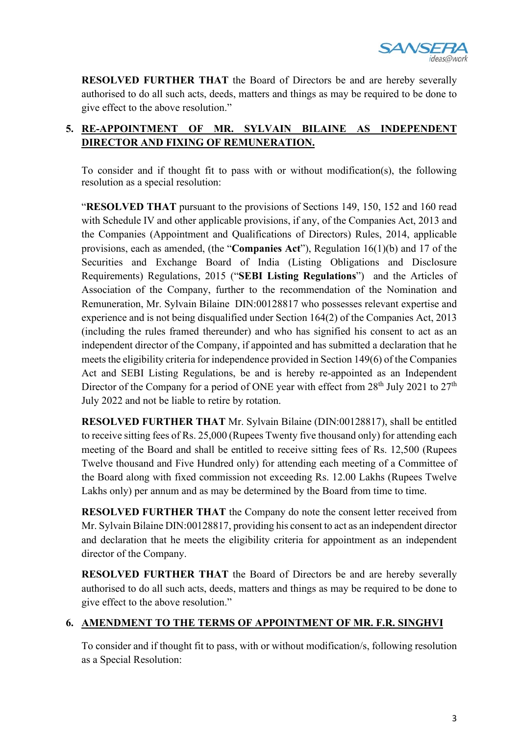

**RESOLVED FURTHER THAT** the Board of Directors be and are hereby severally authorised to do all such acts, deeds, matters and things as may be required to be done to give effect to the above resolution."

# **5. RE-APPOINTMENT OF MR. SYLVAIN BILAINE AS INDEPENDENT DIRECTOR AND FIXING OF REMUNERATION.**

To consider and if thought fit to pass with or without modification(s), the following resolution as a special resolution:

"**RESOLVED THAT** pursuant to the provisions of Sections 149, 150, 152 and 160 read with Schedule IV and other applicable provisions, if any, of the Companies Act, 2013 and the Companies (Appointment and Qualifications of Directors) Rules, 2014, applicable provisions, each as amended, (the "**Companies Act**"), Regulation 16(1)(b) and 17 of the Securities and Exchange Board of India (Listing Obligations and Disclosure Requirements) Regulations, 2015 ("**SEBI Listing Regulations**") and the Articles of Association of the Company, further to the recommendation of the Nomination and Remuneration, Mr. Sylvain Bilaine DIN:00128817 who possesses relevant expertise and experience and is not being disqualified under Section 164(2) of the Companies Act, 2013 (including the rules framed thereunder) and who has signified his consent to act as an independent director of the Company, if appointed and has submitted a declaration that he meets the eligibility criteria for independence provided in Section 149(6) of the Companies Act and SEBI Listing Regulations, be and is hereby re-appointed as an Independent Director of the Company for a period of ONE year with effect from 28<sup>th</sup> July 2021 to 27<sup>th</sup> July 2022 and not be liable to retire by rotation.

**RESOLVED FURTHER THAT** Mr. Sylvain Bilaine (DIN:00128817), shall be entitled to receive sitting fees of Rs. 25,000 (Rupees Twenty five thousand only) for attending each meeting of the Board and shall be entitled to receive sitting fees of Rs. 12,500 (Rupees Twelve thousand and Five Hundred only) for attending each meeting of a Committee of the Board along with fixed commission not exceeding Rs. 12.00 Lakhs (Rupees Twelve Lakhs only) per annum and as may be determined by the Board from time to time.

**RESOLVED FURTHER THAT** the Company do note the consent letter received from Mr. Sylvain Bilaine DIN:00128817, providing his consent to act as an independent director and declaration that he meets the eligibility criteria for appointment as an independent director of the Company.

**RESOLVED FURTHER THAT** the Board of Directors be and are hereby severally authorised to do all such acts, deeds, matters and things as may be required to be done to give effect to the above resolution."

# **6. AMENDMENT TO THE TERMS OF APPOINTMENT OF MR. F.R. SINGHVI**

To consider and if thought fit to pass, with or without modification/s, following resolution as a Special Resolution: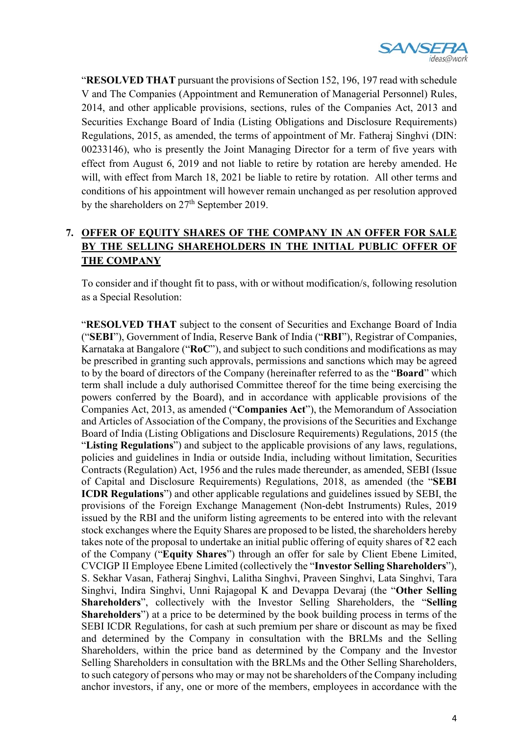

"**RESOLVED THAT** pursuant the provisions of Section 152, 196, 197 read with schedule V and The Companies (Appointment and Remuneration of Managerial Personnel) Rules, 2014, and other applicable provisions, sections, rules of the Companies Act, 2013 and Securities Exchange Board of India (Listing Obligations and Disclosure Requirements) Regulations, 2015, as amended, the terms of appointment of Mr. Fatheraj Singhvi (DIN: 00233146), who is presently the Joint Managing Director for a term of five years with effect from August 6, 2019 and not liable to retire by rotation are hereby amended. He will, with effect from March 18, 2021 be liable to retire by rotation. All other terms and conditions of his appointment will however remain unchanged as per resolution approved by the shareholders on 27<sup>th</sup> September 2019.

# **7. OFFER OF EQUITY SHARES OF THE COMPANY IN AN OFFER FOR SALE BY THE SELLING SHAREHOLDERS IN THE INITIAL PUBLIC OFFER OF THE COMPANY**

To consider and if thought fit to pass, with or without modification/s, following resolution as a Special Resolution:

"**RESOLVED THAT** subject to the consent of Securities and Exchange Board of India ("**SEBI**"), Government of India, Reserve Bank of India ("**RBI**"), Registrar of Companies, Karnataka at Bangalore ("**RoC**"), and subject to such conditions and modifications as may be prescribed in granting such approvals, permissions and sanctions which may be agreed to by the board of directors of the Company (hereinafter referred to as the "**Board**" which term shall include a duly authorised Committee thereof for the time being exercising the powers conferred by the Board), and in accordance with applicable provisions of the Companies Act, 2013, as amended ("**Companies Act**"), the Memorandum of Association and Articles of Association of the Company, the provisions of the Securities and Exchange Board of India (Listing Obligations and Disclosure Requirements) Regulations, 2015 (the "**Listing Regulations**") and subject to the applicable provisions of any laws, regulations, policies and guidelines in India or outside India, including without limitation, Securities Contracts (Regulation) Act, 1956 and the rules made thereunder, as amended, SEBI (Issue of Capital and Disclosure Requirements) Regulations, 2018, as amended (the "**SEBI ICDR Regulations**") and other applicable regulations and guidelines issued by SEBI, the provisions of the Foreign Exchange Management (Non-debt Instruments) Rules, 2019 issued by the RBI and the uniform listing agreements to be entered into with the relevant stock exchanges where the Equity Shares are proposed to be listed, the shareholders hereby takes note of the proposal to undertake an initial public offering of equity shares of ₹2 each of the Company ("**Equity Shares**") through an offer for sale by Client Ebene Limited, CVCIGP II Employee Ebene Limited (collectively the "**Investor Selling Shareholders**"), S. Sekhar Vasan, Fatheraj Singhvi, Lalitha Singhvi, Praveen Singhvi, Lata Singhvi, Tara Singhvi, Indira Singhvi, Unni Rajagopal K and Devappa Devaraj (the "**Other Selling Shareholders**", collectively with the Investor Selling Shareholders, the "**Selling Shareholders**") at a price to be determined by the book building process in terms of the SEBI ICDR Regulations, for cash at such premium per share or discount as may be fixed and determined by the Company in consultation with the BRLMs and the Selling Shareholders, within the price band as determined by the Company and the Investor Selling Shareholders in consultation with the BRLMs and the Other Selling Shareholders, to such category of persons who may or may not be shareholders of the Company including anchor investors, if any, one or more of the members, employees in accordance with the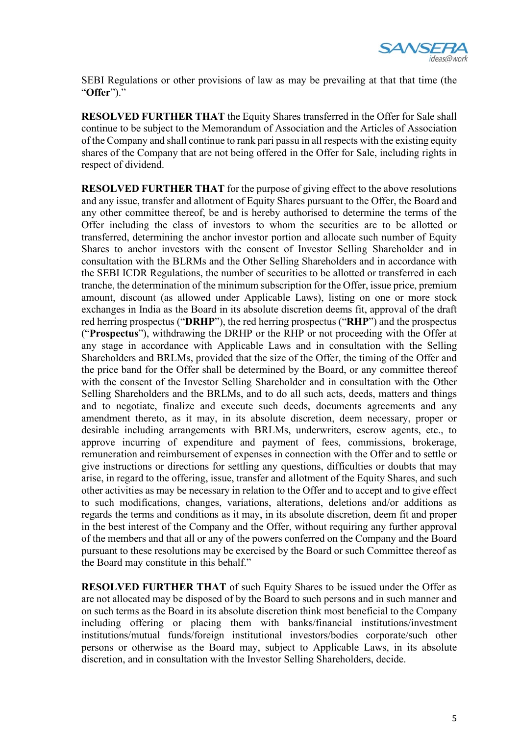

SEBI Regulations or other provisions of law as may be prevailing at that that time (the "**Offer**")."

**RESOLVED FURTHER THAT** the Equity Shares transferred in the Offer for Sale shall continue to be subject to the Memorandum of Association and the Articles of Association of the Company and shall continue to rank pari passu in all respects with the existing equity shares of the Company that are not being offered in the Offer for Sale, including rights in respect of dividend.

**RESOLVED FURTHER THAT** for the purpose of giving effect to the above resolutions and any issue, transfer and allotment of Equity Shares pursuant to the Offer, the Board and any other committee thereof, be and is hereby authorised to determine the terms of the Offer including the class of investors to whom the securities are to be allotted or transferred, determining the anchor investor portion and allocate such number of Equity Shares to anchor investors with the consent of Investor Selling Shareholder and in consultation with the BLRMs and the Other Selling Shareholders and in accordance with the SEBI ICDR Regulations, the number of securities to be allotted or transferred in each tranche, the determination of the minimum subscription for the Offer, issue price, premium amount, discount (as allowed under Applicable Laws), listing on one or more stock exchanges in India as the Board in its absolute discretion deems fit, approval of the draft red herring prospectus ("**DRHP**"), the red herring prospectus ("**RHP**") and the prospectus ("**Prospectus**"), withdrawing the DRHP or the RHP or not proceeding with the Offer at any stage in accordance with Applicable Laws and in consultation with the Selling Shareholders and BRLMs, provided that the size of the Offer, the timing of the Offer and the price band for the Offer shall be determined by the Board, or any committee thereof with the consent of the Investor Selling Shareholder and in consultation with the Other Selling Shareholders and the BRLMs, and to do all such acts, deeds, matters and things and to negotiate, finalize and execute such deeds, documents agreements and any amendment thereto, as it may, in its absolute discretion, deem necessary, proper or desirable including arrangements with BRLMs, underwriters, escrow agents, etc., to approve incurring of expenditure and payment of fees, commissions, brokerage, remuneration and reimbursement of expenses in connection with the Offer and to settle or give instructions or directions for settling any questions, difficulties or doubts that may arise, in regard to the offering, issue, transfer and allotment of the Equity Shares, and such other activities as may be necessary in relation to the Offer and to accept and to give effect to such modifications, changes, variations, alterations, deletions and/or additions as regards the terms and conditions as it may, in its absolute discretion, deem fit and proper in the best interest of the Company and the Offer, without requiring any further approval of the members and that all or any of the powers conferred on the Company and the Board pursuant to these resolutions may be exercised by the Board or such Committee thereof as the Board may constitute in this behalf."

**RESOLVED FURTHER THAT** of such Equity Shares to be issued under the Offer as are not allocated may be disposed of by the Board to such persons and in such manner and on such terms as the Board in its absolute discretion think most beneficial to the Company including offering or placing them with banks/financial institutions/investment institutions/mutual funds/foreign institutional investors/bodies corporate/such other persons or otherwise as the Board may, subject to Applicable Laws, in its absolute discretion, and in consultation with the Investor Selling Shareholders, decide.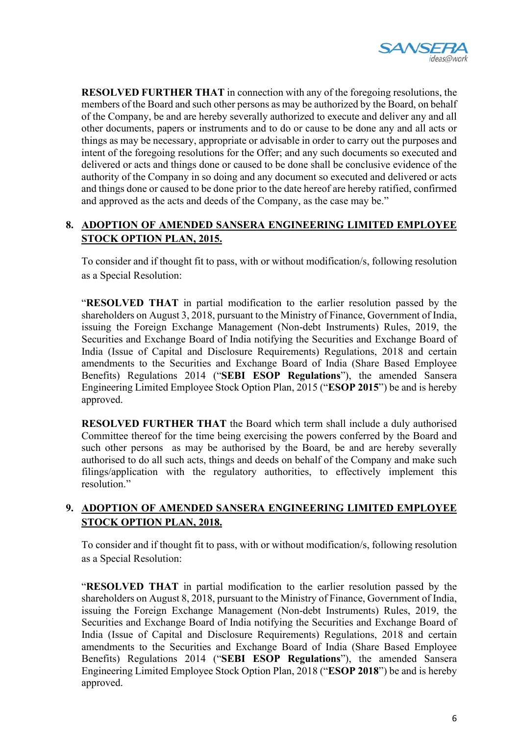

**RESOLVED FURTHER THAT** in connection with any of the foregoing resolutions, the members of the Board and such other persons as may be authorized by the Board, on behalf of the Company, be and are hereby severally authorized to execute and deliver any and all other documents, papers or instruments and to do or cause to be done any and all acts or things as may be necessary, appropriate or advisable in order to carry out the purposes and intent of the foregoing resolutions for the Offer; and any such documents so executed and delivered or acts and things done or caused to be done shall be conclusive evidence of the authority of the Company in so doing and any document so executed and delivered or acts and things done or caused to be done prior to the date hereof are hereby ratified, confirmed and approved as the acts and deeds of the Company, as the case may be."

# **8. ADOPTION OF AMENDED SANSERA ENGINEERING LIMITED EMPLOYEE STOCK OPTION PLAN, 2015.**

To consider and if thought fit to pass, with or without modification/s, following resolution as a Special Resolution:

"**RESOLVED THAT** in partial modification to the earlier resolution passed by the shareholders on August 3, 2018, pursuant to the Ministry of Finance, Government of India, issuing the Foreign Exchange Management (Non-debt Instruments) Rules, 2019, the Securities and Exchange Board of India notifying the Securities and Exchange Board of India (Issue of Capital and Disclosure Requirements) Regulations, 2018 and certain amendments to the Securities and Exchange Board of India (Share Based Employee Benefits) Regulations 2014 ("**SEBI ESOP Regulations**"), the amended Sansera Engineering Limited Employee Stock Option Plan, 2015 ("**ESOP 2015**") be and is hereby approved.

**RESOLVED FURTHER THAT** the Board which term shall include a duly authorised Committee thereof for the time being exercising the powers conferred by the Board and such other persons as may be authorised by the Board, be and are hereby severally authorised to do all such acts, things and deeds on behalf of the Company and make such filings/application with the regulatory authorities, to effectively implement this resolution."

#### **9. ADOPTION OF AMENDED SANSERA ENGINEERING LIMITED EMPLOYEE STOCK OPTION PLAN, 2018.**

To consider and if thought fit to pass, with or without modification/s, following resolution as a Special Resolution:

"**RESOLVED THAT** in partial modification to the earlier resolution passed by the shareholders on August 8, 2018, pursuant to the Ministry of Finance, Government of India, issuing the Foreign Exchange Management (Non-debt Instruments) Rules, 2019, the Securities and Exchange Board of India notifying the Securities and Exchange Board of India (Issue of Capital and Disclosure Requirements) Regulations, 2018 and certain amendments to the Securities and Exchange Board of India (Share Based Employee Benefits) Regulations 2014 ("**SEBI ESOP Regulations**"), the amended Sansera Engineering Limited Employee Stock Option Plan, 2018 ("**ESOP 2018**") be and is hereby approved.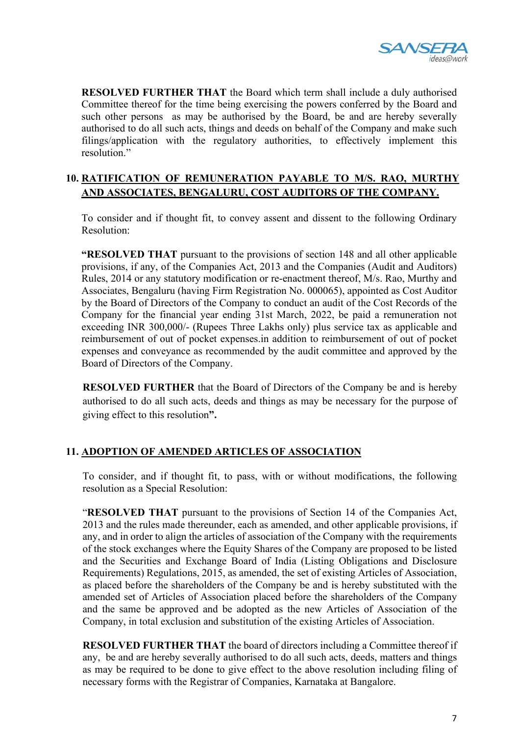

**RESOLVED FURTHER THAT** the Board which term shall include a duly authorised Committee thereof for the time being exercising the powers conferred by the Board and such other persons as may be authorised by the Board, be and are hereby severally authorised to do all such acts, things and deeds on behalf of the Company and make such filings/application with the regulatory authorities, to effectively implement this resolution."

#### **10. RATIFICATION OF REMUNERATION PAYABLE TO M/S. RAO, MURTHY AND ASSOCIATES, BENGALURU, COST AUDITORS OF THE COMPANY.**

To consider and if thought fit, to convey assent and dissent to the following Ordinary Resolution:

**"RESOLVED THAT** pursuant to the provisions of section 148 and all other applicable provisions, if any, of the Companies Act, 2013 and the Companies (Audit and Auditors) Rules, 2014 or any statutory modification or re-enactment thereof, M/s. Rao, Murthy and Associates, Bengaluru (having Firm Registration No. 000065), appointed as Cost Auditor by the Board of Directors of the Company to conduct an audit of the Cost Records of the Company for the financial year ending 31st March, 2022, be paid a remuneration not exceeding INR 300,000/- (Rupees Three Lakhs only) plus service tax as applicable and reimbursement of out of pocket expenses.in addition to reimbursement of out of pocket expenses and conveyance as recommended by the audit committee and approved by the Board of Directors of the Company.

**RESOLVED FURTHER** that the Board of Directors of the Company be and is hereby authorised to do all such acts, deeds and things as may be necessary for the purpose of giving effect to this resolution**".**

# **11. ADOPTION OF AMENDED ARTICLES OF ASSOCIATION**

To consider, and if thought fit, to pass, with or without modifications, the following resolution as a Special Resolution:

"**RESOLVED THAT** pursuant to the provisions of Section 14 of the Companies Act, 2013 and the rules made thereunder, each as amended, and other applicable provisions, if any, and in order to align the articles of association of the Company with the requirements of the stock exchanges where the Equity Shares of the Company are proposed to be listed and the Securities and Exchange Board of India (Listing Obligations and Disclosure Requirements) Regulations, 2015, as amended, the set of existing Articles of Association, as placed before the shareholders of the Company be and is hereby substituted with the amended set of Articles of Association placed before the shareholders of the Company and the same be approved and be adopted as the new Articles of Association of the Company, in total exclusion and substitution of the existing Articles of Association.

**RESOLVED FURTHER THAT** the board of directors including a Committee thereof if any, be and are hereby severally authorised to do all such acts, deeds, matters and things as may be required to be done to give effect to the above resolution including filing of necessary forms with the Registrar of Companies, Karnataka at Bangalore.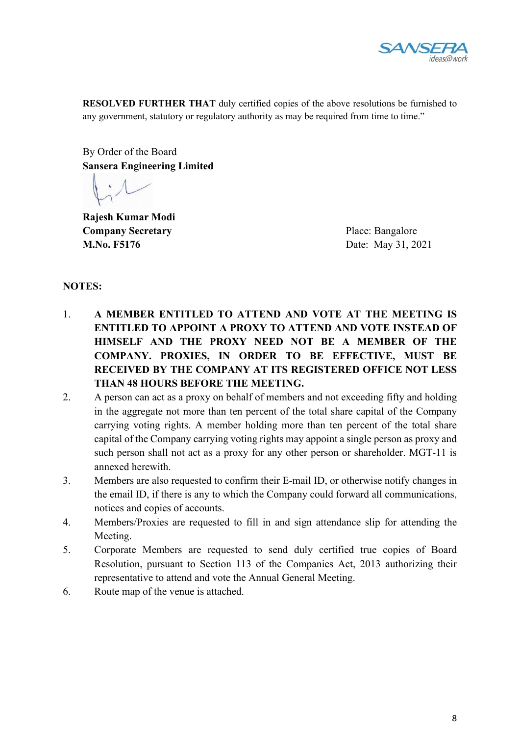

**RESOLVED FURTHER THAT** duly certified copies of the above resolutions be furnished to any government, statutory or regulatory authority as may be required from time to time."

By Order of the Board **Sansera Engineering Limited** 

**Rajesh Kumar Modi Company Secretary** Place: Bangalore **M.No. F5176** Date: May 31, 2021

#### **NOTES:**

- 1. **A MEMBER ENTITLED TO ATTEND AND VOTE AT THE MEETING IS ENTITLED TO APPOINT A PROXY TO ATTEND AND VOTE INSTEAD OF HIMSELF AND THE PROXY NEED NOT BE A MEMBER OF THE COMPANY. PROXIES, IN ORDER TO BE EFFECTIVE, MUST BE RECEIVED BY THE COMPANY AT ITS REGISTERED OFFICE NOT LESS THAN 48 HOURS BEFORE THE MEETING.**
- 2. A person can act as a proxy on behalf of members and not exceeding fifty and holding in the aggregate not more than ten percent of the total share capital of the Company carrying voting rights. A member holding more than ten percent of the total share capital of the Company carrying voting rights may appoint a single person as proxy and such person shall not act as a proxy for any other person or shareholder. MGT-11 is annexed herewith.
- 3. Members are also requested to confirm their E-mail ID, or otherwise notify changes in the email ID, if there is any to which the Company could forward all communications, notices and copies of accounts.
- 4. Members/Proxies are requested to fill in and sign attendance slip for attending the Meeting.
- 5. Corporate Members are requested to send duly certified true copies of Board Resolution, pursuant to Section 113 of the Companies Act, 2013 authorizing their representative to attend and vote the Annual General Meeting.
- 6. Route map of the venue is attached.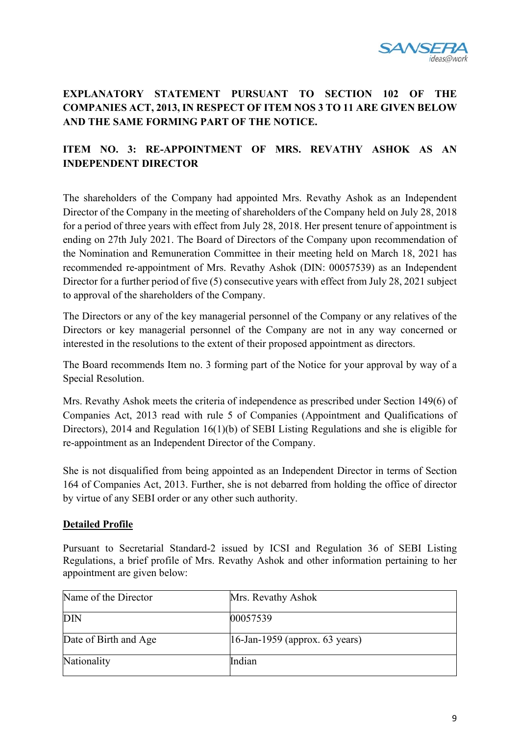

# **EXPLANATORY STATEMENT PURSUANT TO SECTION 102 OF THE COMPANIES ACT, 2013, IN RESPECT OF ITEM NOS 3 TO 11 ARE GIVEN BELOW AND THE SAME FORMING PART OF THE NOTICE.**

# **ITEM NO. 3: RE-APPOINTMENT OF MRS. REVATHY ASHOK AS AN INDEPENDENT DIRECTOR**

The shareholders of the Company had appointed Mrs. Revathy Ashok as an Independent Director of the Company in the meeting of shareholders of the Company held on July 28, 2018 for a period of three years with effect from July 28, 2018. Her present tenure of appointment is ending on 27th July 2021. The Board of Directors of the Company upon recommendation of the Nomination and Remuneration Committee in their meeting held on March 18, 2021 has recommended re-appointment of Mrs. Revathy Ashok (DIN: 00057539) as an Independent Director for a further period of five (5) consecutive years with effect from July 28, 2021 subject to approval of the shareholders of the Company.

The Directors or any of the key managerial personnel of the Company or any relatives of the Directors or key managerial personnel of the Company are not in any way concerned or interested in the resolutions to the extent of their proposed appointment as directors.

The Board recommends Item no. 3 forming part of the Notice for your approval by way of a Special Resolution.

Mrs. Revathy Ashok meets the criteria of independence as prescribed under Section 149(6) of Companies Act, 2013 read with rule 5 of Companies (Appointment and Qualifications of Directors), 2014 and Regulation 16(1)(b) of SEBI Listing Regulations and she is eligible for re-appointment as an Independent Director of the Company.

She is not disqualified from being appointed as an Independent Director in terms of Section 164 of Companies Act, 2013. Further, she is not debarred from holding the office of director by virtue of any SEBI order or any other such authority.

#### **Detailed Profile**

Pursuant to Secretarial Standard-2 issued by ICSI and Regulation 36 of SEBI Listing Regulations, a brief profile of Mrs. Revathy Ashok and other information pertaining to her appointment are given below:

| Name of the Director  | Mrs. Revathy Ashok                |
|-----------------------|-----------------------------------|
| <b>DIN</b>            | 00057539                          |
| Date of Birth and Age | $16$ -Jan-1959 (approx. 63 years) |
| Nationality           | Indian                            |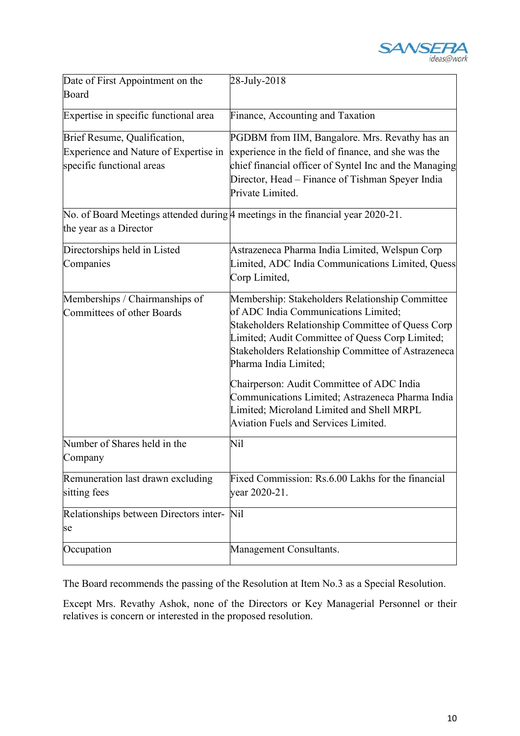

| Date of First Appointment on the       | 28-July-2018                                                                          |
|----------------------------------------|---------------------------------------------------------------------------------------|
| Board                                  |                                                                                       |
| Expertise in specific functional area  | Finance, Accounting and Taxation                                                      |
| Brief Resume, Qualification,           | PGDBM from IIM, Bangalore. Mrs. Revathy has an                                        |
| Experience and Nature of Expertise in  | experience in the field of finance, and she was the                                   |
| specific functional areas              | chief financial officer of Syntel Inc and the Managing                                |
|                                        | Director, Head - Finance of Tishman Speyer India                                      |
|                                        | Private Limited.                                                                      |
|                                        | No. of Board Meetings attended during $\beta$ meetings in the financial year 2020-21. |
| the year as a Director                 |                                                                                       |
| Directorships held in Listed           | Astrazeneca Pharma India Limited, Welspun Corp                                        |
| Companies                              | Limited, ADC India Communications Limited, Quess                                      |
|                                        | Corp Limited,                                                                         |
| Memberships / Chairmanships of         | Membership: Stakeholders Relationship Committee                                       |
| Committees of other Boards             | of ADC India Communications Limited;                                                  |
|                                        | Stakeholders Relationship Committee of Quess Corp                                     |
|                                        | Limited; Audit Committee of Quess Corp Limited;                                       |
|                                        | Stakeholders Relationship Committee of Astrazeneca<br>Pharma India Limited;           |
|                                        | Chairperson: Audit Committee of ADC India                                             |
|                                        | Communications Limited; Astrazeneca Pharma India                                      |
|                                        | Limited; Microland Limited and Shell MRPL                                             |
|                                        | <b>Aviation Fuels and Services Limited.</b>                                           |
| Number of Shares held in the           | Nil                                                                                   |
| Company                                |                                                                                       |
| Remuneration last drawn excluding      | Fixed Commission: Rs.6.00 Lakhs for the financial                                     |
| sitting fees                           | year 2020-21.                                                                         |
| Relationships between Directors inter- | Nil                                                                                   |
| se                                     |                                                                                       |
| Occupation                             | Management Consultants.                                                               |

The Board recommends the passing of the Resolution at Item No.3 as a Special Resolution.

Except Mrs. Revathy Ashok, none of the Directors or Key Managerial Personnel or their relatives is concern or interested in the proposed resolution.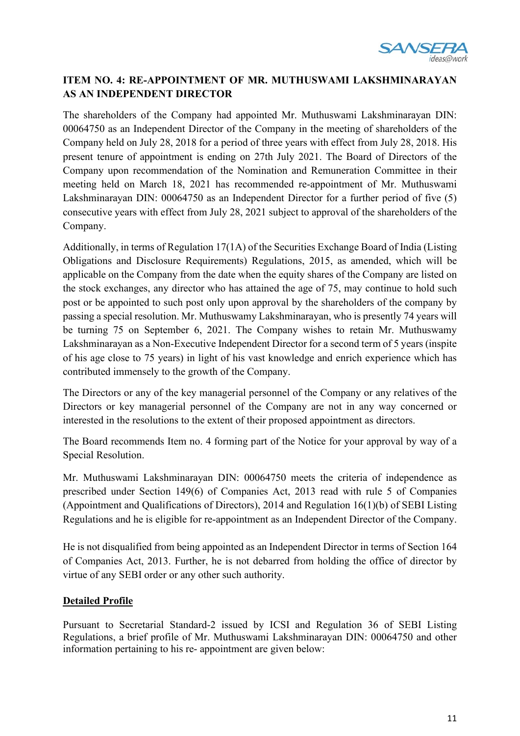

# **ITEM NO. 4: RE-APPOINTMENT OF MR. MUTHUSWAMI LAKSHMINARAYAN AS AN INDEPENDENT DIRECTOR**

The shareholders of the Company had appointed Mr. Muthuswami Lakshminarayan DIN: 00064750 as an Independent Director of the Company in the meeting of shareholders of the Company held on July 28, 2018 for a period of three years with effect from July 28, 2018. His present tenure of appointment is ending on 27th July 2021. The Board of Directors of the Company upon recommendation of the Nomination and Remuneration Committee in their meeting held on March 18, 2021 has recommended re-appointment of Mr. Muthuswami Lakshminarayan DIN: 00064750 as an Independent Director for a further period of five (5) consecutive years with effect from July 28, 2021 subject to approval of the shareholders of the Company.

Additionally, in terms of Regulation 17(1A) of the Securities Exchange Board of India (Listing Obligations and Disclosure Requirements) Regulations, 2015, as amended, which will be applicable on the Company from the date when the equity shares of the Company are listed on the stock exchanges, any director who has attained the age of 75, may continue to hold such post or be appointed to such post only upon approval by the shareholders of the company by passing a special resolution. Mr. Muthuswamy Lakshminarayan, who is presently 74 years will be turning 75 on September 6, 2021. The Company wishes to retain Mr. Muthuswamy Lakshminarayan as a Non-Executive Independent Director for a second term of 5 years (inspite of his age close to 75 years) in light of his vast knowledge and enrich experience which has contributed immensely to the growth of the Company.

The Directors or any of the key managerial personnel of the Company or any relatives of the Directors or key managerial personnel of the Company are not in any way concerned or interested in the resolutions to the extent of their proposed appointment as directors.

The Board recommends Item no. 4 forming part of the Notice for your approval by way of a Special Resolution.

Mr. Muthuswami Lakshminarayan DIN: 00064750 meets the criteria of independence as prescribed under Section 149(6) of Companies Act, 2013 read with rule 5 of Companies (Appointment and Qualifications of Directors), 2014 and Regulation 16(1)(b) of SEBI Listing Regulations and he is eligible for re-appointment as an Independent Director of the Company.

He is not disqualified from being appointed as an Independent Director in terms of Section 164 of Companies Act, 2013. Further, he is not debarred from holding the office of director by virtue of any SEBI order or any other such authority.

# **Detailed Profile**

Pursuant to Secretarial Standard-2 issued by ICSI and Regulation 36 of SEBI Listing Regulations, a brief profile of Mr. Muthuswami Lakshminarayan DIN: 00064750 and other information pertaining to his re- appointment are given below: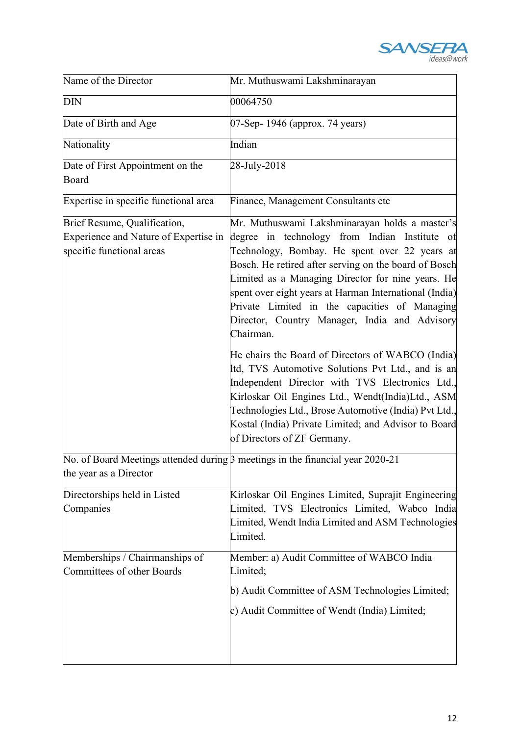

| Name of the Director                                                                               | Mr. Muthuswami Lakshminarayan                                                                                                                                                                                                                                                                                                                                                                                                           |  |
|----------------------------------------------------------------------------------------------------|-----------------------------------------------------------------------------------------------------------------------------------------------------------------------------------------------------------------------------------------------------------------------------------------------------------------------------------------------------------------------------------------------------------------------------------------|--|
| $\overline{\rm DIN}$                                                                               | 00064750                                                                                                                                                                                                                                                                                                                                                                                                                                |  |
| Date of Birth and Age                                                                              | 07-Sep- 1946 (approx. 74 years)                                                                                                                                                                                                                                                                                                                                                                                                         |  |
| Nationality                                                                                        | Indian                                                                                                                                                                                                                                                                                                                                                                                                                                  |  |
| Date of First Appointment on the<br>Board                                                          | 28-July-2018                                                                                                                                                                                                                                                                                                                                                                                                                            |  |
| Expertise in specific functional area                                                              | Finance, Management Consultants etc                                                                                                                                                                                                                                                                                                                                                                                                     |  |
| Brief Resume, Qualification,<br>Experience and Nature of Expertise in<br>specific functional areas | Mr. Muthuswami Lakshminarayan holds a master's<br>degree in technology from Indian Institute of<br>Technology, Bombay. He spent over 22 years at<br>Bosch. He retired after serving on the board of Bosch<br>Limited as a Managing Director for nine years. He<br>spent over eight years at Harman International (India)<br>Private Limited in the capacities of Managing<br>Director, Country Manager, India and Advisory<br>Chairman. |  |
|                                                                                                    | He chairs the Board of Directors of WABCO (India)<br>Itd, TVS Automotive Solutions Pvt Ltd., and is an<br>Independent Director with TVS Electronics Ltd.,<br>Kirloskar Oil Engines Ltd., Wendt(India)Ltd., ASM<br>Technologies Ltd., Brose Automotive (India) Pvt Ltd.,<br>Kostal (India) Private Limited; and Advisor to Board<br>of Directors of ZF Germany.                                                                          |  |
| the year as a Director                                                                             | No. of Board Meetings attended during $\beta$ meetings in the financial year 2020-21                                                                                                                                                                                                                                                                                                                                                    |  |
| Directorships held in Listed<br>Companies                                                          | Kirloskar Oil Engines Limited, Suprajit Engineering<br>Limited, TVS Electronics Limited, Wabco India<br>Limited, Wendt India Limited and ASM Technologies<br>Limited.                                                                                                                                                                                                                                                                   |  |
| Memberships / Chairmanships of<br>Committees of other Boards                                       | Member: a) Audit Committee of WABCO India<br>Limited;                                                                                                                                                                                                                                                                                                                                                                                   |  |
|                                                                                                    | b) Audit Committee of ASM Technologies Limited;<br>c) Audit Committee of Wendt (India) Limited;                                                                                                                                                                                                                                                                                                                                         |  |
|                                                                                                    |                                                                                                                                                                                                                                                                                                                                                                                                                                         |  |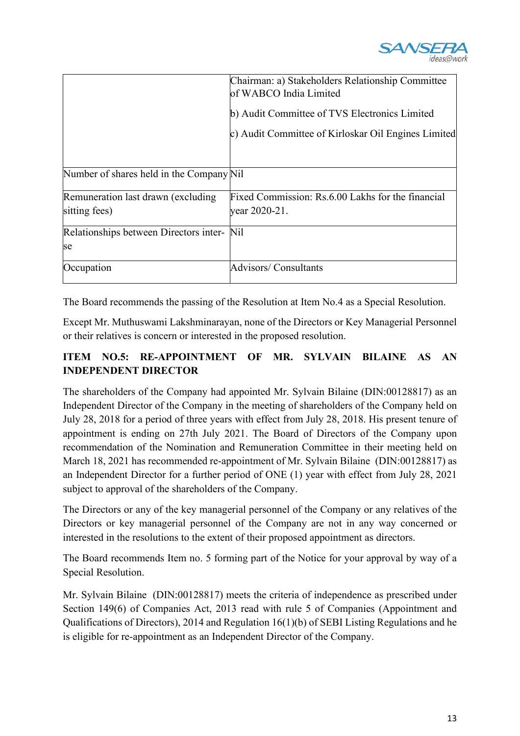

|                                            | Chairman: a) Stakeholders Relationship Committee<br>of WABCO India Limited |
|--------------------------------------------|----------------------------------------------------------------------------|
|                                            | b) Audit Committee of TVS Electronics Limited                              |
|                                            | c) Audit Committee of Kirloskar Oil Engines Limited                        |
|                                            |                                                                            |
| Number of shares held in the Company Nil   |                                                                            |
| Remuneration last drawn (excluding)        | Fixed Commission: Rs.6.00 Lakhs for the financial                          |
| sitting fees)                              | year 2020-21.                                                              |
| Relationships between Directors inter- Nil |                                                                            |
| se                                         |                                                                            |
| Occupation                                 | <b>Advisors/Consultants</b>                                                |

The Board recommends the passing of the Resolution at Item No.4 as a Special Resolution.

Except Mr. Muthuswami Lakshminarayan, none of the Directors or Key Managerial Personnel or their relatives is concern or interested in the proposed resolution.

# **ITEM NO.5: RE-APPOINTMENT OF MR. SYLVAIN BILAINE AS AN INDEPENDENT DIRECTOR**

The shareholders of the Company had appointed Mr. Sylvain Bilaine (DIN:00128817) as an Independent Director of the Company in the meeting of shareholders of the Company held on July 28, 2018 for a period of three years with effect from July 28, 2018. His present tenure of appointment is ending on 27th July 2021. The Board of Directors of the Company upon recommendation of the Nomination and Remuneration Committee in their meeting held on March 18, 2021 has recommended re-appointment of Mr. Sylvain Bilaine (DIN:00128817) as an Independent Director for a further period of ONE (1) year with effect from July 28, 2021 subject to approval of the shareholders of the Company.

The Directors or any of the key managerial personnel of the Company or any relatives of the Directors or key managerial personnel of the Company are not in any way concerned or interested in the resolutions to the extent of their proposed appointment as directors.

The Board recommends Item no. 5 forming part of the Notice for your approval by way of a Special Resolution.

Mr. Sylvain Bilaine (DIN:00128817) meets the criteria of independence as prescribed under Section 149(6) of Companies Act, 2013 read with rule 5 of Companies (Appointment and Qualifications of Directors), 2014 and Regulation 16(1)(b) of SEBI Listing Regulations and he is eligible for re-appointment as an Independent Director of the Company.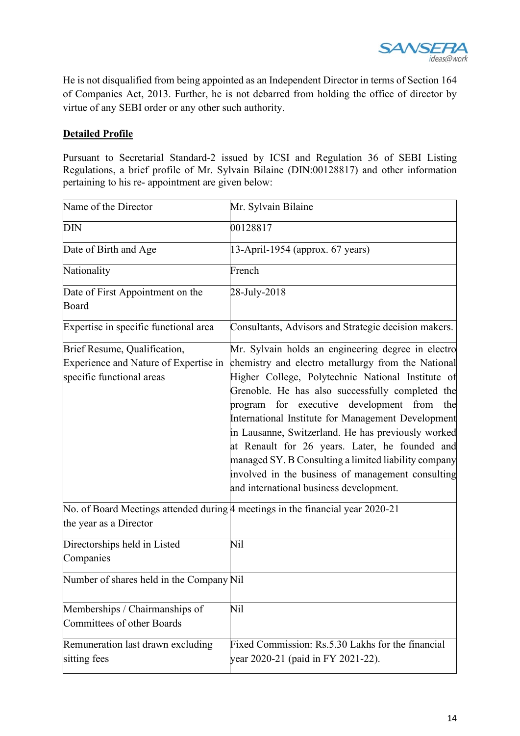

He is not disqualified from being appointed as an Independent Director in terms of Section 164 of Companies Act, 2013. Further, he is not debarred from holding the office of director by virtue of any SEBI order or any other such authority.

#### **Detailed Profile**

Pursuant to Secretarial Standard-2 issued by ICSI and Regulation 36 of SEBI Listing Regulations, a brief profile of Mr. Sylvain Bilaine (DIN:00128817) and other information pertaining to his re- appointment are given below:

| Name of the Director                                                                               | Mr. Sylvain Bilaine                                                                                                                                                                                                                                                                                                                                                                                                                                                                                                                                                                   |  |
|----------------------------------------------------------------------------------------------------|---------------------------------------------------------------------------------------------------------------------------------------------------------------------------------------------------------------------------------------------------------------------------------------------------------------------------------------------------------------------------------------------------------------------------------------------------------------------------------------------------------------------------------------------------------------------------------------|--|
| <b>DIN</b>                                                                                         | 00128817                                                                                                                                                                                                                                                                                                                                                                                                                                                                                                                                                                              |  |
| Date of Birth and Age                                                                              | 13-April-1954 (approx. 67 years)                                                                                                                                                                                                                                                                                                                                                                                                                                                                                                                                                      |  |
| Nationality                                                                                        | French                                                                                                                                                                                                                                                                                                                                                                                                                                                                                                                                                                                |  |
| Date of First Appointment on the<br>Board                                                          | 28-July-2018                                                                                                                                                                                                                                                                                                                                                                                                                                                                                                                                                                          |  |
| Expertise in specific functional area                                                              | Consultants, Advisors and Strategic decision makers.                                                                                                                                                                                                                                                                                                                                                                                                                                                                                                                                  |  |
| Brief Resume, Qualification,<br>Experience and Nature of Expertise in<br>specific functional areas | Mr. Sylvain holds an engineering degree in electro<br>chemistry and electro metallurgy from the National<br>Higher College, Polytechnic National Institute of<br>Grenoble. He has also successfully completed the<br>program for executive development from the<br>International Institute for Management Development<br>in Lausanne, Switzerland. He has previously worked<br>at Renault for 26 years. Later, he founded and<br>managed SY. B Consulting a limited liability company<br>involved in the business of management consulting<br>and international business development. |  |
| the year as a Director                                                                             | No. of Board Meetings attended during 4 meetings in the financial year 2020-21                                                                                                                                                                                                                                                                                                                                                                                                                                                                                                        |  |
| Directorships held in Listed<br>Companies                                                          | Nil                                                                                                                                                                                                                                                                                                                                                                                                                                                                                                                                                                                   |  |
| Number of shares held in the Company Nil                                                           |                                                                                                                                                                                                                                                                                                                                                                                                                                                                                                                                                                                       |  |
| Memberships / Chairmanships of<br>Committees of other Boards                                       | Nil                                                                                                                                                                                                                                                                                                                                                                                                                                                                                                                                                                                   |  |
| Remuneration last drawn excluding<br>sitting fees                                                  | Fixed Commission: Rs.5.30 Lakhs for the financial<br>year 2020-21 (paid in FY 2021-22).                                                                                                                                                                                                                                                                                                                                                                                                                                                                                               |  |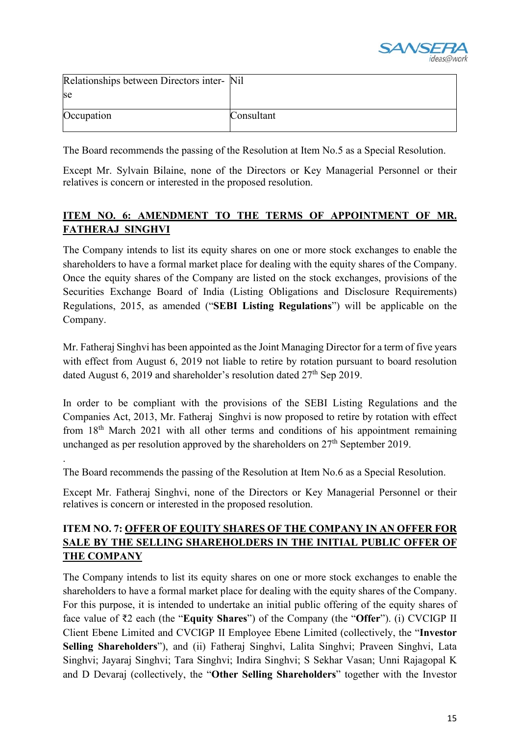

| Relationships between Directors inter- Nil |            |
|--------------------------------------------|------------|
| se                                         |            |
| Occupation                                 | Consultant |

The Board recommends the passing of the Resolution at Item No.5 as a Special Resolution.

Except Mr. Sylvain Bilaine, none of the Directors or Key Managerial Personnel or their relatives is concern or interested in the proposed resolution.

# **ITEM NO. 6: AMENDMENT TO THE TERMS OF APPOINTMENT OF MR. FATHERAJ SINGHVI**

The Company intends to list its equity shares on one or more stock exchanges to enable the shareholders to have a formal market place for dealing with the equity shares of the Company. Once the equity shares of the Company are listed on the stock exchanges, provisions of the Securities Exchange Board of India (Listing Obligations and Disclosure Requirements) Regulations, 2015, as amended ("**SEBI Listing Regulations**") will be applicable on the Company.

Mr. Fatheraj Singhvi has been appointed as the Joint Managing Director for a term of five years with effect from August 6, 2019 not liable to retire by rotation pursuant to board resolution dated August 6, 2019 and shareholder's resolution dated  $27<sup>th</sup>$  Sep 2019.

In order to be compliant with the provisions of the SEBI Listing Regulations and the Companies Act, 2013, Mr. Fatheraj Singhvi is now proposed to retire by rotation with effect from 18th March 2021 with all other terms and conditions of his appointment remaining unchanged as per resolution approved by the shareholders on  $27<sup>th</sup>$  September 2019.

The Board recommends the passing of the Resolution at Item No.6 as a Special Resolution.

.

Except Mr. Fatheraj Singhvi, none of the Directors or Key Managerial Personnel or their relatives is concern or interested in the proposed resolution.

# **ITEM NO. 7: OFFER OF EQUITY SHARES OF THE COMPANY IN AN OFFER FOR SALE BY THE SELLING SHAREHOLDERS IN THE INITIAL PUBLIC OFFER OF THE COMPANY**

The Company intends to list its equity shares on one or more stock exchanges to enable the shareholders to have a formal market place for dealing with the equity shares of the Company. For this purpose, it is intended to undertake an initial public offering of the equity shares of face value of ₹2 each (the "**Equity Shares**") of the Company (the "**Offer**"). (i) CVCIGP II Client Ebene Limited and CVCIGP II Employee Ebene Limited (collectively, the "**Investor Selling Shareholders**"), and (ii) Fatheraj Singhvi, Lalita Singhvi; Praveen Singhvi, Lata Singhvi; Jayaraj Singhvi; Tara Singhvi; Indira Singhvi; S Sekhar Vasan; Unni Rajagopal K and D Devaraj (collectively, the "**Other Selling Shareholders**" together with the Investor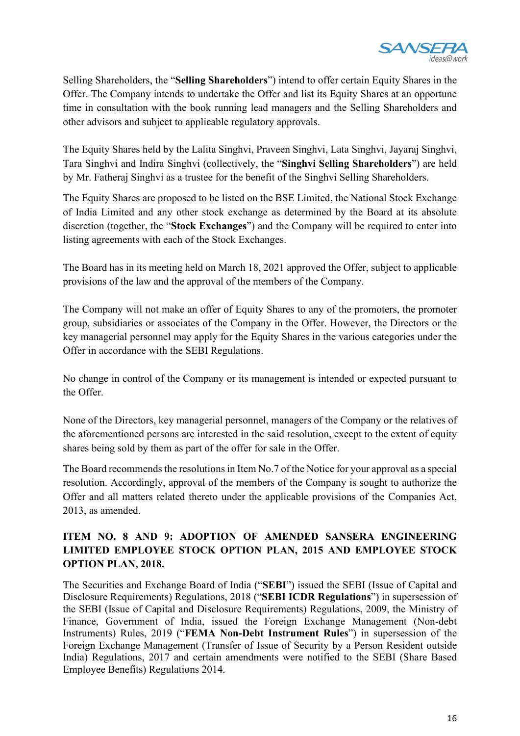

Selling Shareholders, the "**Selling Shareholders**") intend to offer certain Equity Shares in the Offer. The Company intends to undertake the Offer and list its Equity Shares at an opportune time in consultation with the book running lead managers and the Selling Shareholders and other advisors and subject to applicable regulatory approvals.

The Equity Shares held by the Lalita Singhvi, Praveen Singhvi, Lata Singhvi, Jayaraj Singhvi, Tara Singhvi and Indira Singhvi (collectively, the "**Singhvi Selling Shareholders**") are held by Mr. Fatheraj Singhvi as a trustee for the benefit of the Singhvi Selling Shareholders.

The Equity Shares are proposed to be listed on the BSE Limited, the National Stock Exchange of India Limited and any other stock exchange as determined by the Board at its absolute discretion (together, the "**Stock Exchanges**") and the Company will be required to enter into listing agreements with each of the Stock Exchanges.

The Board has in its meeting held on March 18, 2021 approved the Offer, subject to applicable provisions of the law and the approval of the members of the Company.

The Company will not make an offer of Equity Shares to any of the promoters, the promoter group, subsidiaries or associates of the Company in the Offer. However, the Directors or the key managerial personnel may apply for the Equity Shares in the various categories under the Offer in accordance with the SEBI Regulations.

No change in control of the Company or its management is intended or expected pursuant to the Offer.

None of the Directors, key managerial personnel, managers of the Company or the relatives of the aforementioned persons are interested in the said resolution, except to the extent of equity shares being sold by them as part of the offer for sale in the Offer.

The Board recommends the resolutions in Item No.7 of the Notice for your approval as a special resolution. Accordingly, approval of the members of the Company is sought to authorize the Offer and all matters related thereto under the applicable provisions of the Companies Act, 2013, as amended.

# **ITEM NO. 8 AND 9: ADOPTION OF AMENDED SANSERA ENGINEERING LIMITED EMPLOYEE STOCK OPTION PLAN, 2015 AND EMPLOYEE STOCK OPTION PLAN, 2018.**

The Securities and Exchange Board of India ("**SEBI**") issued the SEBI (Issue of Capital and Disclosure Requirements) Regulations, 2018 ("**SEBI ICDR Regulations**") in supersession of the SEBI (Issue of Capital and Disclosure Requirements) Regulations, 2009, the Ministry of Finance, Government of India, issued the Foreign Exchange Management (Non-debt Instruments) Rules, 2019 ("**FEMA Non-Debt Instrument Rules**") in supersession of the Foreign Exchange Management (Transfer of Issue of Security by a Person Resident outside India) Regulations, 2017 and certain amendments were notified to the SEBI (Share Based Employee Benefits) Regulations 2014.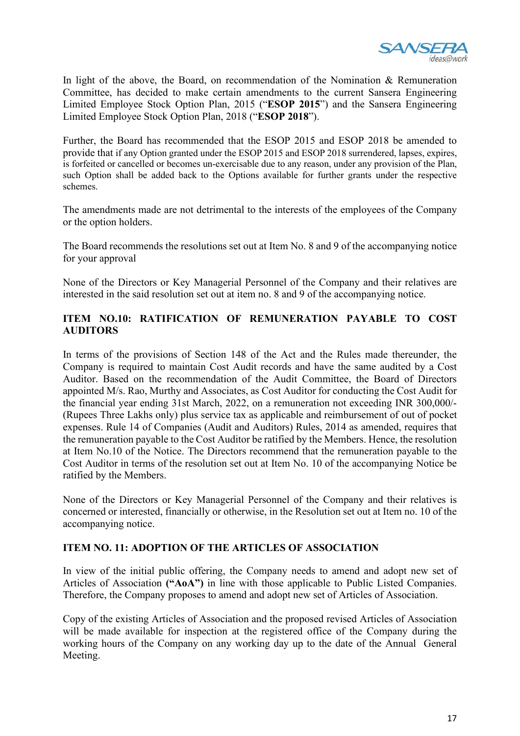

In light of the above, the Board, on recommendation of the Nomination & Remuneration Committee, has decided to make certain amendments to the current Sansera Engineering Limited Employee Stock Option Plan, 2015 ("**ESOP 2015**") and the Sansera Engineering Limited Employee Stock Option Plan, 2018 ("**ESOP 2018**").

Further, the Board has recommended that the ESOP 2015 and ESOP 2018 be amended to provide that if any Option granted under the ESOP 2015 and ESOP 2018 surrendered, lapses, expires, is forfeited or cancelled or becomes un-exercisable due to any reason, under any provision of the Plan, such Option shall be added back to the Options available for further grants under the respective schemes.

The amendments made are not detrimental to the interests of the employees of the Company or the option holders.

The Board recommends the resolutions set out at Item No. 8 and 9 of the accompanying notice for your approval

None of the Directors or Key Managerial Personnel of the Company and their relatives are interested in the said resolution set out at item no. 8 and 9 of the accompanying notice.

#### **ITEM NO.10: RATIFICATION OF REMUNERATION PAYABLE TO COST AUDITORS**

In terms of the provisions of Section 148 of the Act and the Rules made thereunder, the Company is required to maintain Cost Audit records and have the same audited by a Cost Auditor. Based on the recommendation of the Audit Committee, the Board of Directors appointed M/s. Rao, Murthy and Associates, as Cost Auditor for conducting the Cost Audit for the financial year ending 31st March, 2022, on a remuneration not exceeding INR 300,000/- (Rupees Three Lakhs only) plus service tax as applicable and reimbursement of out of pocket expenses. Rule 14 of Companies (Audit and Auditors) Rules, 2014 as amended, requires that the remuneration payable to the Cost Auditor be ratified by the Members. Hence, the resolution at Item No.10 of the Notice. The Directors recommend that the remuneration payable to the Cost Auditor in terms of the resolution set out at Item No. 10 of the accompanying Notice be ratified by the Members.

None of the Directors or Key Managerial Personnel of the Company and their relatives is concerned or interested, financially or otherwise, in the Resolution set out at Item no. 10 of the accompanying notice.

#### **ITEM NO. 11: ADOPTION OF THE ARTICLES OF ASSOCIATION**

In view of the initial public offering, the Company needs to amend and adopt new set of Articles of Association **("AoA")** in line with those applicable to Public Listed Companies. Therefore, the Company proposes to amend and adopt new set of Articles of Association.

Copy of the existing Articles of Association and the proposed revised Articles of Association will be made available for inspection at the registered office of the Company during the working hours of the Company on any working day up to the date of the Annual General Meeting.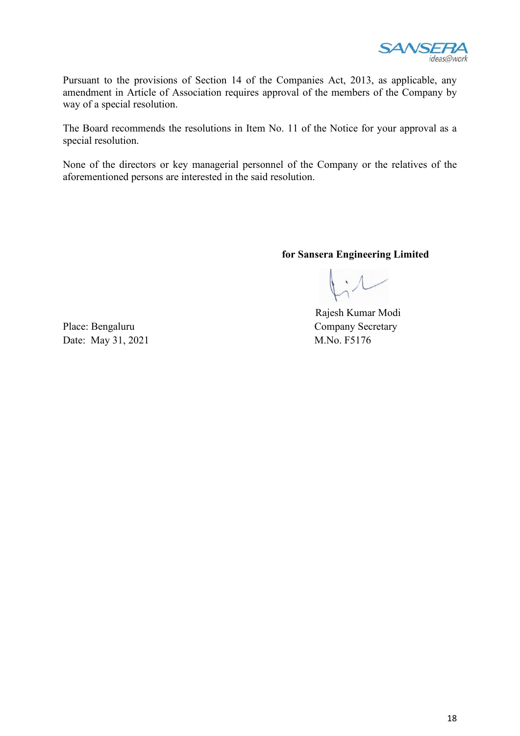

Pursuant to the provisions of Section 14 of the Companies Act, 2013, as applicable, any amendment in Article of Association requires approval of the members of the Company by way of a special resolution.

The Board recommends the resolutions in Item No. 11 of the Notice for your approval as a special resolution.

None of the directors or key managerial personnel of the Company or the relatives of the aforementioned persons are interested in the said resolution.

**for Sansera Engineering Limited**

 Rajesh Kumar Modi Place: Bengaluru Company Secretary

Date: May 31, 2021 M.No. F5176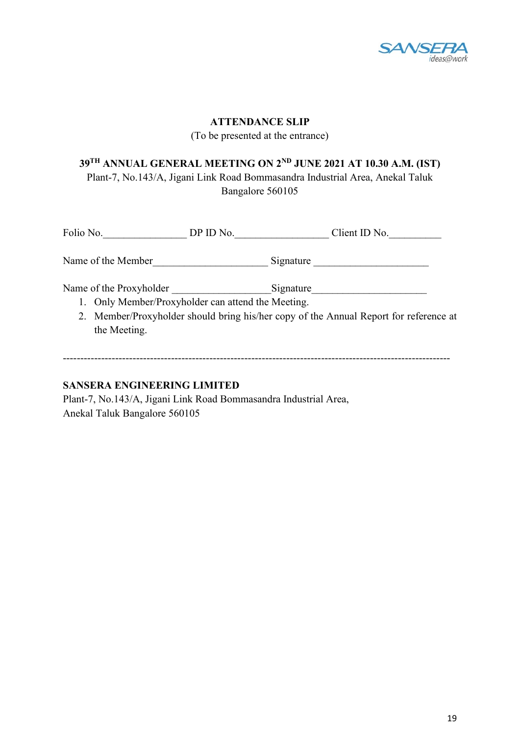

#### **ATTENDANCE SLIP**

(To be presented at the entrance)

# **39TH ANNUAL GENERAL MEETING ON 2ND JUNE 2021 AT 10.30 A.M. (IST)** Plant-7, No.143/A, Jigani Link Road Bommasandra Industrial Area, Anekal Taluk

Bangalore 560105

| Folio No.                                          | DP ID No. | Client ID No.                                                                         |
|----------------------------------------------------|-----------|---------------------------------------------------------------------------------------|
| Name of the Member                                 |           | Signature                                                                             |
| Name of the Proxyholder                            |           | Signature                                                                             |
| 1. Only Member/Proxyholder can attend the Meeting. |           |                                                                                       |
|                                                    |           | 2. Member/Proxyholder should bring his/her copy of the Annual Report for reference at |
| the Meeting.                                       |           |                                                                                       |
|                                                    |           |                                                                                       |

---------------------------------------------------------------------------------------------------------------

#### **SANSERA ENGINEERING LIMITED**

Plant-7, No.143/A, Jigani Link Road Bommasandra Industrial Area, Anekal Taluk Bangalore 560105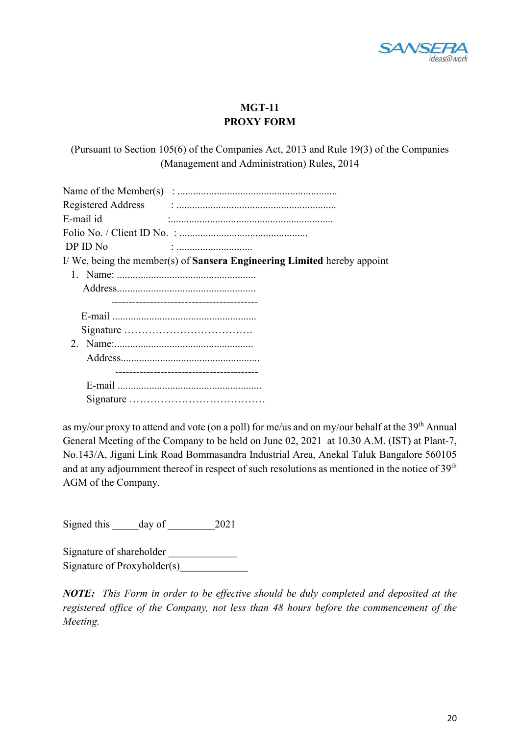

# **MGT-11 PROXY FORM**

(Pursuant to Section 105(6) of the Companies Act, 2013 and Rule 19(3) of the Companies (Management and Administration) Rules, 2014

| E-mail id |                                                                                |
|-----------|--------------------------------------------------------------------------------|
|           |                                                                                |
| DP ID No  |                                                                                |
|           | I/We, being the member(s) of <b>Sansera Engineering Limited</b> hereby appoint |
|           |                                                                                |
|           |                                                                                |
|           |                                                                                |
|           |                                                                                |
|           |                                                                                |
|           |                                                                                |
|           |                                                                                |
|           |                                                                                |
|           |                                                                                |
|           |                                                                                |
|           |                                                                                |

as my/our proxy to attend and vote (on a poll) for me/us and on my/our behalf at the 39<sup>th</sup> Annual General Meeting of the Company to be held on June 02, 2021 at 10.30 A.M. (IST) at Plant-7, No.143/A, Jigani Link Road Bommasandra Industrial Area, Anekal Taluk Bangalore 560105 and at any adjournment thereof in respect of such resolutions as mentioned in the notice of 39<sup>th</sup> AGM of the Company.

Signed this day of 2021

Signature of shareholder Signature of Proxyholder(s)

*NOTE: This Form in order to be effective should be duly completed and deposited at the registered office of the Company, not less than 48 hours before the commencement of the Meeting.*